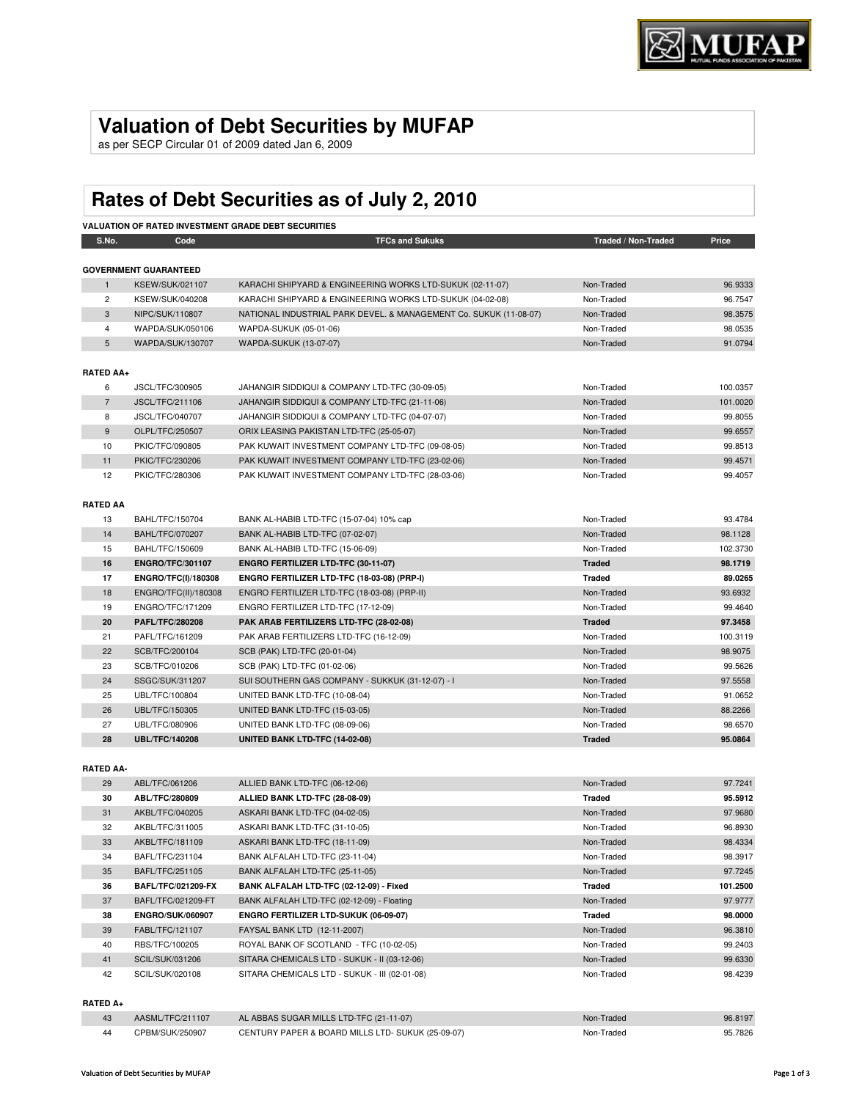## **Valuation of Debt Securities by MUFAP**

as per SECP Circular 01 of 2009 dated Jan 6, 2009

# **Rates of Debt Securities as of July 2, 2010**

|                  | <b>VALUATION OF RATED INVESTMENT GRADE DEBT SECURITIES</b> |                                                                   |                     |          |  |  |
|------------------|------------------------------------------------------------|-------------------------------------------------------------------|---------------------|----------|--|--|
| S.No.            | Code                                                       | <b>TFCs and Sukuks</b>                                            | Traded / Non-Traded | Price    |  |  |
|                  | <b>GOVERNMENT GUARANTEED</b>                               |                                                                   |                     |          |  |  |
| $\mathbf{1}$     | <b>KSEW/SUK/021107</b>                                     | KARACHI SHIPYARD & ENGINEERING WORKS LTD-SUKUK (02-11-07)         | Non-Traded          | 96.9333  |  |  |
| $\overline{2}$   | KSEW/SUK/040208                                            | KARACHI SHIPYARD & ENGINEERING WORKS LTD-SUKUK (04-02-08)         | Non-Traded          | 96.7547  |  |  |
| 3                | NIPC/SUK/110807                                            | NATIONAL INDUSTRIAL PARK DEVEL. & MANAGEMENT Co. SUKUK (11-08-07) | Non-Traded          | 98.3575  |  |  |
| $\overline{4}$   | WAPDA/SUK/050106                                           | WAPDA-SUKUK (05-01-06)                                            | Non-Traded          | 98.0535  |  |  |
| 5                | WAPDA/SUK/130707                                           | WAPDA-SUKUK (13-07-07)                                            | Non-Traded          | 91.0794  |  |  |
| <b>RATED AA+</b> |                                                            |                                                                   |                     |          |  |  |
| 6                | JSCL/TFC/300905                                            | JAHANGIR SIDDIQUI & COMPANY LTD-TFC (30-09-05)                    | Non-Traded          | 100.0357 |  |  |
| $\overline{7}$   | JSCL/TFC/211106                                            | JAHANGIR SIDDIQUI & COMPANY LTD-TFC (21-11-06)                    | Non-Traded          | 101.0020 |  |  |
| 8                | JSCL/TFC/040707                                            | JAHANGIR SIDDIQUI & COMPANY LTD-TFC (04-07-07)                    | Non-Traded          | 99.8055  |  |  |
| 9                | OLPL/TFC/250507                                            | ORIX LEASING PAKISTAN LTD-TFC (25-05-07)                          | Non-Traded          | 99.6557  |  |  |
| 10               | PKIC/TFC/090805                                            | PAK KUWAIT INVESTMENT COMPANY LTD-TFC (09-08-05)                  | Non-Traded          | 99.8513  |  |  |
| 11               | PKIC/TFC/230206                                            | PAK KUWAIT INVESTMENT COMPANY LTD-TFC (23-02-06)                  | Non-Traded          | 99.4571  |  |  |
| 12               | PKIC/TFC/280306                                            | PAK KUWAIT INVESTMENT COMPANY LTD-TFC (28-03-06)                  | Non-Traded          | 99.4057  |  |  |
|                  |                                                            |                                                                   |                     |          |  |  |
| <b>RATED AA</b>  |                                                            |                                                                   |                     |          |  |  |
| 13               | BAHL/TFC/150704                                            | BANK AL-HABIB LTD-TFC (15-07-04) 10% cap                          | Non-Traded          | 93.4784  |  |  |
| 14               | <b>BAHL/TFC/070207</b>                                     | BANK AL-HABIB LTD-TFC (07-02-07)                                  | Non-Traded          | 98.1128  |  |  |
| 15               | BAHL/TFC/150609                                            | BANK AL-HABIB LTD-TFC (15-06-09)                                  | Non-Traded          | 102.3730 |  |  |
| 16               | <b>ENGRO/TFC/301107</b>                                    | ENGRO FERTILIZER LTD-TFC (30-11-07)                               | <b>Traded</b>       | 98.1719  |  |  |
| 17               | <b>ENGRO/TFC(I)/180308</b>                                 | ENGRO FERTILIZER LTD-TFC (18-03-08) (PRP-I)                       | <b>Traded</b>       | 89.0265  |  |  |
| 18               | ENGRO/TFC(II)/180308                                       | ENGRO FERTILIZER LTD-TFC (18-03-08) (PRP-II)                      | Non-Traded          | 93.6932  |  |  |
| 19               | ENGRO/TFC/171209                                           | ENGRO FERTILIZER LTD-TFC (17-12-09)                               | Non-Traded          | 99.4640  |  |  |
| 20               | PAFL/TFC/280208                                            | PAK ARAB FERTILIZERS LTD-TFC (28-02-08)                           | <b>Traded</b>       | 97.3458  |  |  |
| 21               | PAFL/TFC/161209                                            | PAK ARAB FERTILIZERS LTD-TFC (16-12-09)                           | Non-Traded          | 100.3119 |  |  |
| 22               | SCB/TFC/200104                                             | SCB (PAK) LTD-TFC (20-01-04)                                      | Non-Traded          | 98.9075  |  |  |
| 23               | SCB/TFC/010206                                             | SCB (PAK) LTD-TFC (01-02-06)                                      | Non-Traded          | 99.5626  |  |  |
| 24               | SSGC/SUK/311207                                            | SUI SOUTHERN GAS COMPANY - SUKKUK (31-12-07) - I                  | Non-Traded          | 97.5558  |  |  |
| 25               | UBL/TFC/100804                                             | UNITED BANK LTD-TFC (10-08-04)                                    | Non-Traded          | 91.0652  |  |  |
| 26               | UBL/TFC/150305                                             | UNITED BANK LTD-TFC (15-03-05)                                    | Non-Traded          | 88.2266  |  |  |
| 27               | UBL/TFC/080906                                             | UNITED BANK LTD-TFC (08-09-06)                                    | Non-Traded          | 98.6570  |  |  |
| 28               | <b>UBL/TFC/140208</b>                                      | UNITED BANK LTD-TFC (14-02-08)                                    | <b>Traded</b>       | 95.0864  |  |  |
|                  |                                                            |                                                                   |                     |          |  |  |
| <b>RATED AA-</b> |                                                            |                                                                   |                     |          |  |  |
| 29               | ABL/TFC/061206                                             | ALLIED BANK LTD-TFC (06-12-06)                                    | Non-Traded          | 97.7241  |  |  |
| 30               | ABL/TFC/280809                                             | ALLIED BANK LTD-TFC (28-08-09)                                    | <b>Traded</b>       | 95.5912  |  |  |
| 31               | AKBL/TFC/040205                                            | ASKARI BANK LTD-TFC (04-02-05)                                    | Non-Traded          | 97.9680  |  |  |
| 32               | AKBL/TFC/311005                                            | ASKARI BANK LTD-TFC (31-10-05)                                    | Non-Traded          | 96.8930  |  |  |
| 33               | AKBL/TFC/181109                                            | ASKARI BANK LTD-TFC (18-11-09)                                    | Non-Traded          | 98.4334  |  |  |

| ັບ | ANULI UU IIVVJ            | AUTO THE DAIN'LL DELL'U (UTERUS)              | 1901-119969 | JU.UJUU  |
|----|---------------------------|-----------------------------------------------|-------------|----------|
| 33 | AKBL/TFC/181109           | ASKARI BANK LTD-TFC (18-11-09)                | Non-Traded  | 98.4334  |
| 34 | BAFL/TFC/231104           | BANK ALFALAH LTD-TFC (23-11-04)               | Non-Traded  | 98.3917  |
| 35 | BAFL/TFC/251105           | BANK ALFALAH LTD-TFC (25-11-05)               | Non-Traded  | 97.7245  |
| 36 | <b>BAFL/TFC/021209-FX</b> | BANK ALFALAH LTD-TFC (02-12-09) - Fixed       | Traded      | 101.2500 |
| 37 | BAFL/TFC/021209-FT        | BANK ALFALAH LTD-TFC (02-12-09) - Floating    | Non-Traded  | 97.9777  |
| 38 | <b>ENGRO/SUK/060907</b>   | <b>ENGRO FERTILIZER LTD-SUKUK (06-09-07)</b>  | Traded      | 98.0000  |
| 39 | FABL/TFC/121107           | FAYSAL BANK LTD (12-11-2007)                  | Non-Traded  | 96.3810  |
| 40 | RBS/TFC/100205            | ROYAL BANK OF SCOTLAND - TFC (10-02-05)       | Non-Traded  | 99.2403  |
| 41 | SCIL/SUK/031206           | SITARA CHEMICALS LTD - SUKUK - II (03-12-06)  | Non-Traded  | 99.6330  |
| 42 | SCIL/SUK/020108           | SITARA CHEMICALS LTD - SUKUK - III (02-01-08) | Non-Traded  | 98.4239  |
|    |                           |                                               |             |          |

## **RATED A+**

| 43  | AASML/TFC/211107 | AL ABBAS SUGAR MILLS LTD-TFC (21-11-07)           | Non-Traded | 96.8197 |
|-----|------------------|---------------------------------------------------|------------|---------|
| -44 | CPBM/SUK/250907  | CENTURY PAPER & BOARD MILLS LTD- SUKUK (25-09-07) | Non-Traded | 95.7826 |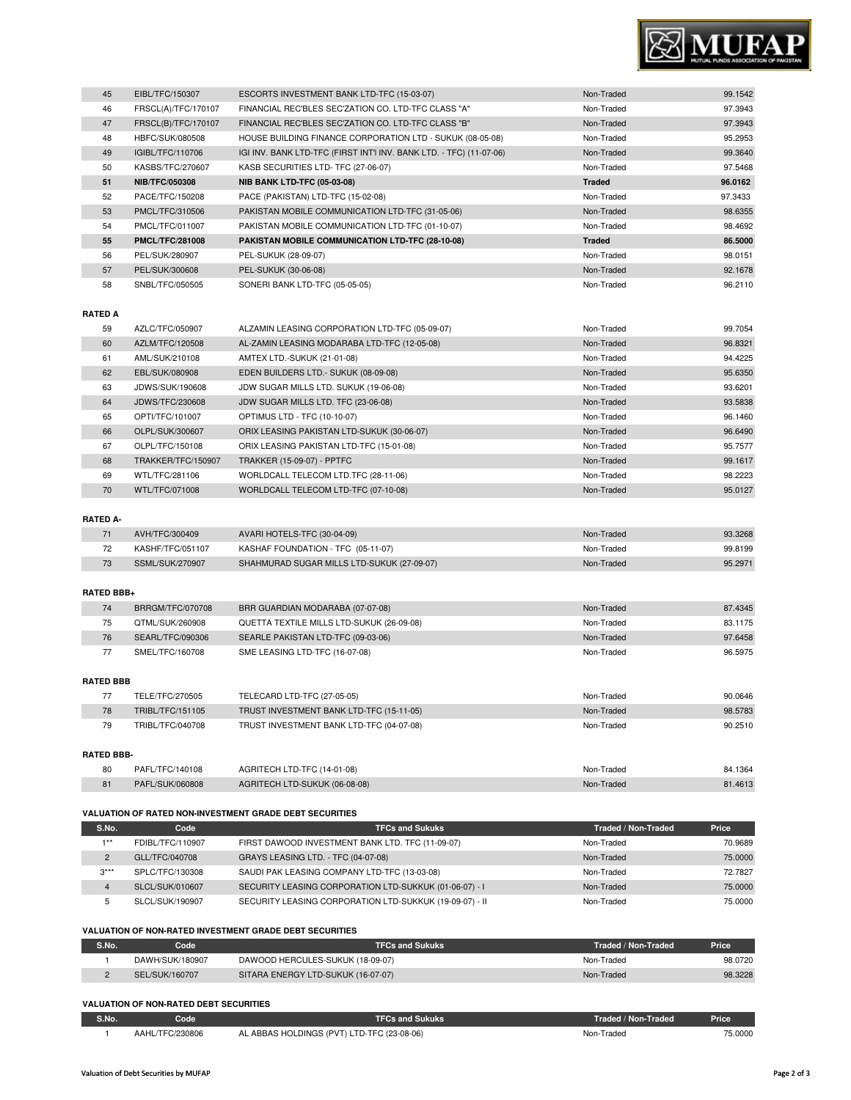

| 45 | EIBL/TFC/150307        | ESCORTS INVESTMENT BANK LTD-TFC (15-03-07)                          | Non-Traded    | 99.1542 |
|----|------------------------|---------------------------------------------------------------------|---------------|---------|
| 46 | FRSCL(A)/TFC/170107    | FINANCIAL REC'BLES SEC'ZATION CO. LTD-TFC CLASS "A"                 | Non-Traded    | 97.3943 |
| 47 | FRSCL(B)/TFC/170107    | FINANCIAL REC'BLES SEC'ZATION CO. LTD-TFC CLASS "B"                 | Non-Traded    | 97.3943 |
| 48 | HBFC/SUK/080508        | HOUSE BUILDING FINANCE CORPORATION LTD - SUKUK (08-05-08)           | Non-Traded    | 95.2953 |
| 49 | IGIBL/TFC/110706       | IGI INV. BANK LTD-TFC (FIRST INT'I INV. BANK LTD. - TFC) (11-07-06) | Non-Traded    | 99.3640 |
| 50 | KASBS/TFC/270607       | KASB SECURITIES LTD- TFC (27-06-07)                                 | Non-Traded    | 97.5468 |
| 51 | <b>NIB/TFC/050308</b>  | <b>NIB BANK LTD-TFC (05-03-08)</b>                                  | <b>Traded</b> | 96.0162 |
| 52 | PACE/TFC/150208        | PACE (PAKISTAN) LTD-TFC (15-02-08)                                  | Non-Traded    | 97.3433 |
| 53 | PMCL/TFC/310506        | PAKISTAN MOBILE COMMUNICATION LTD-TFC (31-05-06)                    | Non-Traded    | 98.6355 |
| 54 | PMCL/TFC/011007        | PAKISTAN MOBILE COMMUNICATION LTD-TFC (01-10-07)                    | Non-Traded    | 98.4692 |
| 55 | <b>PMCL/TFC/281008</b> | PAKISTAN MOBILE COMMUNICATION LTD-TFC (28-10-08)                    | <b>Traded</b> | 86.5000 |
| 56 | PEL/SUK/280907         | PEL-SUKUK (28-09-07)                                                | Non-Traded    | 98.0151 |
| 57 | PEL/SUK/300608         | PEL-SUKUK (30-06-08)                                                | Non-Traded    | 92.1678 |
| 58 | SNBL/TFC/050505        | SONERI BANK LTD-TFC (05-05-05)                                      | Non-Traded    | 96.2110 |
|    |                        |                                                                     |               |         |

## **RATED A**

| 59 | AZLC/TFC/050907    | ALZAMIN LEASING CORPORATION LTD-TFC (05-09-07) | Non-Traded | 99.7054 |
|----|--------------------|------------------------------------------------|------------|---------|
| 60 | AZLM/TFC/120508    | AL-ZAMIN LEASING MODARABA LTD-TFC (12-05-08)   | Non-Traded | 96.8321 |
| 61 | AML/SUK/210108     | AMTEX LTD.-SUKUK (21-01-08)                    | Non-Traded | 94.4225 |
| 62 | EBL/SUK/080908     | EDEN BUILDERS LTD. - SUKUK (08-09-08)          | Non-Traded | 95.6350 |
| 63 | JDWS/SUK/190608    | JDW SUGAR MILLS LTD. SUKUK (19-06-08)          | Non-Traded | 93.6201 |
| 64 | JDWS/TFC/230608    | JDW SUGAR MILLS LTD. TFC (23-06-08)            | Non-Traded | 93.5838 |
| 65 | OPTI/TFC/101007    | OPTIMUS LTD - TFC (10-10-07)                   | Non-Traded | 96.1460 |
| 66 | OLPL/SUK/300607    | ORIX LEASING PAKISTAN LTD-SUKUK (30-06-07)     | Non-Traded | 96.6490 |
| 67 | OLPL/TFC/150108    | ORIX LEASING PAKISTAN LTD-TFC (15-01-08)       | Non-Traded | 95.7577 |
| 68 | TRAKKER/TFC/150907 | <b>TRAKKER (15-09-07) - PPTFC</b>              | Non-Traded | 99.1617 |
| 69 | WTL/TFC/281106     | WORLDCALL TELECOM LTD.TFC (28-11-06)           | Non-Traded | 98.2223 |
| 70 | WTL/TFC/071008     | WORLDCALL TELECOM LTD-TFC (07-10-08)           | Non-Traded | 95.0127 |

## **RATED A-**

| AVH/TFC/300409   | AVARI HOTELS-TFC (30-04-09)                | Non-Traded | 93.3268 |
|------------------|--------------------------------------------|------------|---------|
| KASHF/TFC/051107 | KASHAF FOUNDATION - TFC (05-11-07)         | Non-Traded | 99.8199 |
| SSML/SUK/270907  | SHAHMURAD SUGAR MILLS LTD-SUKUK (27-09-07) | Non-Traded | 95.2971 |

### **RATED BBB+**

| 74 | BRRGM/TFC/070708 | BRR GUARDIAN MODARABA (07-07-08)          | Non-Traded | 87.4345 |
|----|------------------|-------------------------------------------|------------|---------|
| 75 | OTML/SUK/260908  | QUETTA TEXTILE MILLS LTD-SUKUK (26-09-08) | Non-Traded | 83.1175 |
| 76 | SEARL/TFC/090306 | SEARLE PAKISTAN LTD-TFC (09-03-06)        | Non-Traded | 97.6458 |
| 77 | SMEL/TFC/160708  | SME LEASING LTD-TFC (16-07-08)            | Non-Traded | 96.5975 |

## **RATED BBB**

|                  | TELE/TFC/270505  | TELECARD LTD-TFC (27-05-05)              | Non-Traded | 90.0646 |
|------------------|------------------|------------------------------------------|------------|---------|
| 78               | TRIBL/TFC/151105 | TRUST INVESTMENT BANK LTD-TFC (15-11-05) | Non-Traded | 98,5783 |
| 79               | TRIBL/TFC/040708 | TRUST INVESTMENT BANK LTD-TFC (04-07-08) | Non-Traded | 90.2510 |
|                  |                  |                                          |            |         |
| <b>DATED DDD</b> |                  |                                          |            |         |

## **RATED BBB-**

| 80 | PAFL/TFC/140108 | AGRITECH LTD-TFC (14-01-08)   | Non-Traded | 84.1364 |
|----|-----------------|-------------------------------|------------|---------|
| 81 | PAFL/SUK/060808 | AGRITECH LTD-SUKUK (06-08-08) | Non-Traded | 81.4613 |

#### **VALUATION OF RATED NON-INVESTMENT GRADE DEBT SECURITIES**

| S.No.          | Code             | <b>TFCs and Sukuks</b>                                  | Traded / Non-Traded | Price   |
|----------------|------------------|---------------------------------------------------------|---------------------|---------|
| $4 * *$        | FDIBL/TFC/110907 | FIRST DAWOOD INVESTMENT BANK LTD. TFC (11-09-07)        | Non-Traded          | 70.9689 |
| $\overline{2}$ | GLL/TFC/040708   | GRAYS LEASING LTD. - TFC (04-07-08)                     | Non-Traded          | 75,0000 |
| $3***$         | SPLC/TFC/130308  | SAUDI PAK LEASING COMPANY LTD-TFC (13-03-08)            | Non-Traded          | 72.7827 |
| 4              | SLCL/SUK/010607  | SECURITY LEASING CORPORATION LTD-SUKKUK (01-06-07) - I  | Non-Traded          | 75,0000 |
| b.             | SLCL/SUK/190907  | SECURITY LEASING CORPORATION LTD-SUKKUK (19-09-07) - II | Non-Traded          | 75,0000 |

## **VALUATION OF NON-RATED INVESTMENT GRADE DEBT SECURITIES**

| S.No. | Code            | <b>TFCs and Sukuks</b>             | Traded / Non-Traded | Price   |
|-------|-----------------|------------------------------------|---------------------|---------|
|       | DAWH/SUK/180907 | DAWOOD HERCULES-SUKUK (18-09-07)   | Non-Traded          | 98.0720 |
|       | SEL/SUK/160707  | SITARA ENERGY LTD-SUKUK (16-07-07) | Non-Traded          | 98.3228 |

#### **VALUATION OF NON-RATED DEBT SECURITIES**

| S.No. | Code            | <b>TFCs and Sukuks</b>                        | Traded / Non-Traded | <b>Price</b> |
|-------|-----------------|-----------------------------------------------|---------------------|--------------|
|       | AAHL/TFC/230806 | ABBAS HOLDINGS (PVT) LTD-TFC (23-08-06)<br>AL | Non-Traded          | 75,0000      |